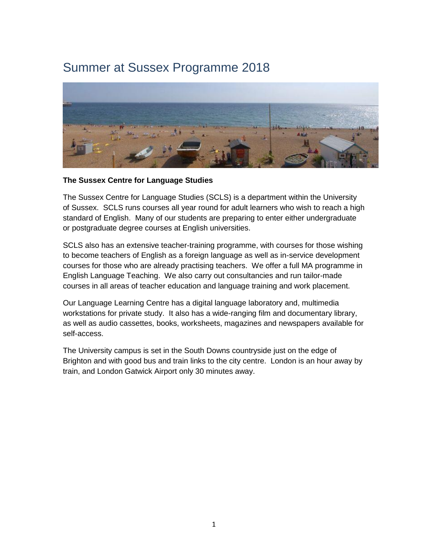# Summer at Sussex Programme 2018



# **The Sussex Centre for Language Studies**

The Sussex Centre for Language Studies (SCLS) is a department within the University of Sussex. SCLS runs courses all year round for adult learners who wish to reach a high standard of English. Many of our students are preparing to enter either undergraduate or postgraduate degree courses at English universities.

SCLS also has an extensive teacher-training programme, with courses for those wishing to become teachers of English as a foreign language as well as in-service development courses for those who are already practising teachers. We offer a full MA programme in English Language Teaching. We also carry out consultancies and run tailor-made courses in all areas of teacher education and language training and work placement.

Our Language Learning Centre has a digital language laboratory and, multimedia workstations for private study. It also has a wide-ranging film and documentary library, as well as audio cassettes, books, worksheets, magazines and newspapers available for self-access.

The University campus is set in the South Downs countryside just on the edge of Brighton and with good bus and train links to the city centre. London is an hour away by train, and London Gatwick Airport only 30 minutes away.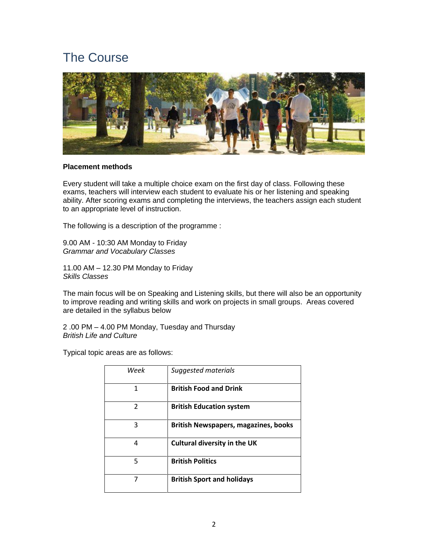# The Course



#### **Placement methods**

Every student will take a multiple choice exam on the first day of class. Following these exams, teachers will interview each student to evaluate his or her listening and speaking ability. After scoring exams and completing the interviews, the teachers assign each student to an appropriate level of instruction.

The following is a description of the programme :

9.00 AM - 10:30 AM Monday to Friday *Grammar and Vocabulary Classes*

11.00 AM – 12.30 PM Monday to Friday *Skills Classes*

The main focus will be on Speaking and Listening skills, but there will also be an opportunity to improve reading and writing skills and work on projects in small groups. Areas covered are detailed in the syllabus below

2 .00 PM – 4.00 PM Monday, Tuesday and Thursday *British Life and Culture*

Typical topic areas are as follows:

| Week | Suggested materials                         |
|------|---------------------------------------------|
| 1    | <b>British Food and Drink</b>               |
| 2    | <b>British Education system</b>             |
| 3    | <b>British Newspapers, magazines, books</b> |
| 4    | <b>Cultural diversity in the UK</b>         |
| 5    | <b>British Politics</b>                     |
|      | <b>British Sport and holidays</b>           |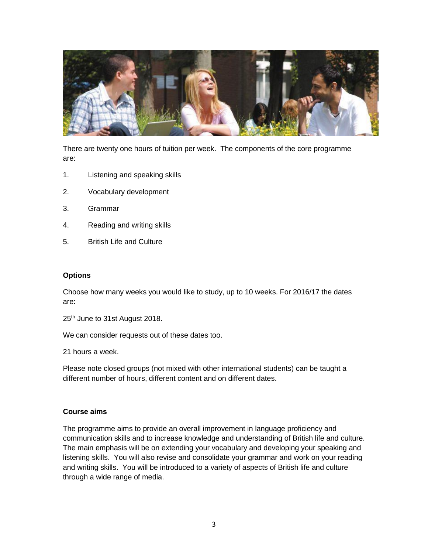

There are twenty one hours of tuition per week. The components of the core programme are:

- 1. Listening and speaking skills
- 2. Vocabulary development
- 3. Grammar
- 4. Reading and writing skills
- 5. British Life and Culture

# **Options**

Choose how many weeks you would like to study, up to 10 weeks. For 2016/17 the dates are:

25<sup>th</sup> June to 31st August 2018.

We can consider requests out of these dates too.

21 hours a week.

Please note closed groups (not mixed with other international students) can be taught a different number of hours, different content and on different dates.

# **Course aims**

The programme aims to provide an overall improvement in language proficiency and communication skills and to increase knowledge and understanding of British life and culture. The main emphasis will be on extending your vocabulary and developing your speaking and listening skills. You will also revise and consolidate your grammar and work on your reading and writing skills. You will be introduced to a variety of aspects of British life and culture through a wide range of media.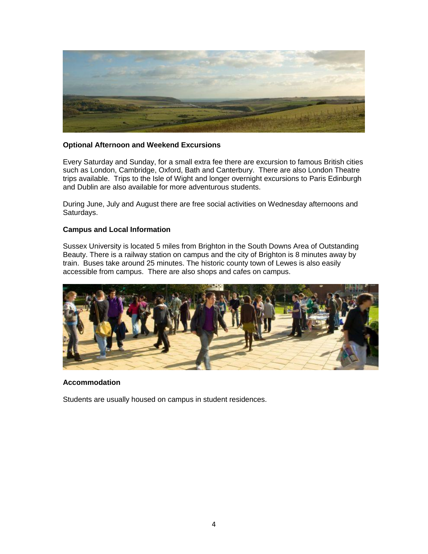

# **Optional Afternoon and Weekend Excursions**

Every Saturday and Sunday, for a small extra fee there are excursion to famous British cities such as London, Cambridge, Oxford, Bath and Canterbury. There are also London Theatre trips available. Trips to the Isle of Wight and longer overnight excursions to Paris Edinburgh and Dublin are also available for more adventurous students.

During June, July and August there are free social activities on Wednesday afternoons and Saturdays.

# **Campus and Local Information**

Sussex University is located 5 miles from Brighton in the South Downs Area of Outstanding Beauty. There is a railway station on campus and the city of Brighton is 8 minutes away by train. Buses take around 25 minutes. The historic county town of Lewes is also easily accessible from campus. There are also shops and cafes on campus.



# **Accommodation**

Students are usually housed on campus in student residences.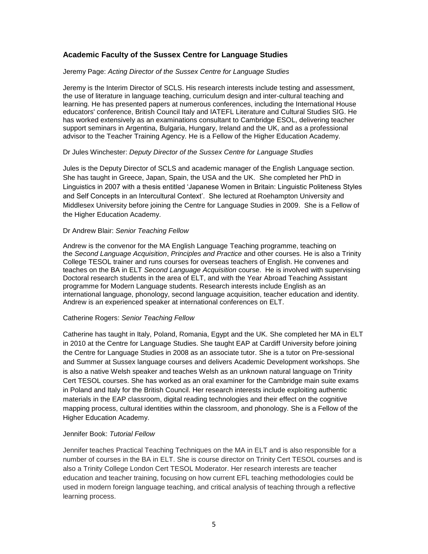# **Academic Faculty of the Sussex Centre for Language Studies**

#### Jeremy Page: *Acting Director of the Sussex Centre for Language Studies*

Jeremy is the Interim Director of SCLS. His research interests include testing and assessment, the use of literature in language teaching, curriculum design and inter-cultural teaching and learning. He has presented papers at numerous conferences, including the International House educators' conference, British Council Italy and IATEFL Literature and Cultural Studies SIG. He has worked extensively as an examinations consultant to Cambridge ESOL, delivering teacher support seminars in Argentina, Bulgaria, Hungary, Ireland and the UK, and as a professional advisor to the Teacher Training Agency. He is a Fellow of the Higher Education Academy.

#### Dr Jules Winchester: *Deputy Director of the Sussex Centre for Language Studies*

Jules is the Deputy Director of SCLS and academic manager of the English Language section. She has taught in Greece, Japan, Spain, the USA and the UK. She completed her PhD in Linguistics in 2007 with a thesis entitled 'Japanese Women in Britain: Linguistic Politeness Styles and Self Concepts in an Intercultural Context'. She lectured at Roehampton University and Middlesex University before joining the Centre for Language Studies in 2009. She is a Fellow of the Higher Education Academy.

#### Dr Andrew Blair: *Senior Teaching Fellow*

Andrew is the convenor for the MA English Language Teaching programme, teaching on the *Second Language Acquisition*, *Principles and Practice* and other courses. He is also a Trinity College TESOL trainer and runs courses for overseas teachers of English. He convenes and teaches on the BA in ELT *Second Language Acquisition* course. He is involved with supervising Doctoral research students in the area of ELT, and with the Year Abroad Teaching Assistant programme for Modern Language students. Research interests include English as an international language, phonology, second language acquisition, teacher education and identity. Andrew is an experienced speaker at international conferences on ELT.

#### Catherine Rogers: *Senior Teaching Fellow*

Catherine has taught in Italy, Poland, Romania, Egypt and the UK. She completed her MA in ELT in 2010 at the Centre for Language Studies. She taught EAP at Cardiff University before joining the Centre for Language Studies in 2008 as an associate tutor. She is a tutor on Pre-sessional and Summer at Sussex language courses and delivers Academic Development workshops. She is also a native Welsh speaker and teaches Welsh as an unknown natural language on Trinity Cert TESOL courses. She has worked as an oral examiner for the Cambridge main suite exams in Poland and Italy for the British Council. Her research interests include exploiting authentic materials in the EAP classroom, digital reading technologies and their effect on the cognitive mapping process, cultural identities within the classroom, and phonology. She is a Fellow of the Higher Education Academy.

#### Jennifer Book: *Tutorial Fellow*

Jennifer teaches Practical Teaching Techniques on the MA in ELT and is also responsible for a number of courses in the BA in ELT. She is course director on Trinity Cert TESOL courses and is also a Trinity College London Cert TESOL Moderator. Her research interests are teacher education and teacher training, focusing on how current EFL teaching methodologies could be used in modern foreign language teaching, and critical analysis of teaching through a reflective learning process.